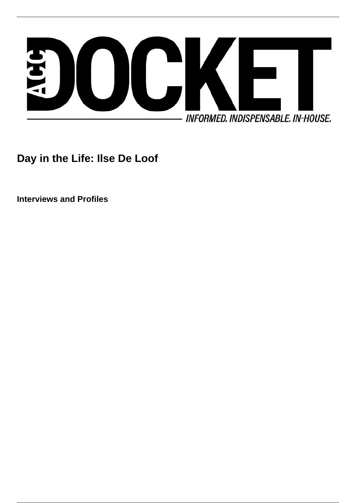

**Day in the Life: Ilse De Loof**

**Interviews and Profiles**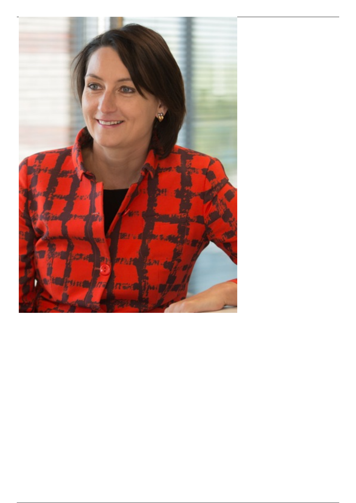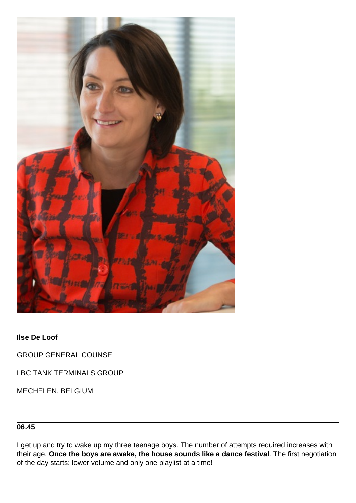

#### **Ilse De Loof**

GROUP GENERAL COUNSEL

LBC TANK TERMINALS GROUP

MECHELEN, BELGIUM

## **06.45**

I get up and try to wake up my three teenage boys. The number of attempts required increases with their age. **Once the boys are awake, the house sounds like a dance festival**. The first negotiation of the day starts: lower volume and only one playlist at a time!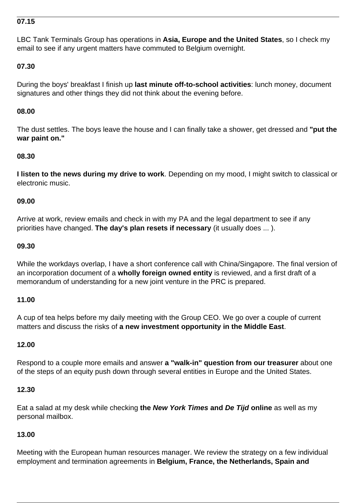#### **07.15**

LBC Tank Terminals Group has operations in **Asia, Europe and the United States**, so I check my email to see if any urgent matters have commuted to Belgium overnight.

### **07.30**

During the boys' breakfast I finish up **last minute off-to-school activities**: lunch money, document signatures and other things they did not think about the evening before.

### **08.00**

The dust settles. The boys leave the house and I can finally take a shower, get dressed and **"put the war paint on."**

## **08.30**

**I listen to the news during my drive to work**. Depending on my mood, I might switch to classical or electronic music.

#### **09.00**

Arrive at work, review emails and check in with my PA and the legal department to see if any priorities have changed. **The day's plan resets if necessary** (it usually does ... ).

### **09.30**

While the workdays overlap, I have a short conference call with China/Singapore. The final version of an incorporation document of a **wholly foreign owned entity** is reviewed, and a first draft of a memorandum of understanding for a new joint venture in the PRC is prepared.

#### **11.00**

A cup of tea helps before my daily meeting with the Group CEO. We go over a couple of current matters and discuss the risks of **a new investment opportunity in the Middle East**.

#### **12.00**

Respond to a couple more emails and answer **a "walk-in" question from our treasurer** about one of the steps of an equity push down through several entities in Europe and the United States.

#### **12.30**

Eat a salad at my desk while checking **the New York Times and De Tijd online** as well as my personal mailbox.

# **13.00**

Meeting with the European human resources manager. We review the strategy on a few individual employment and termination agreements in **Belgium, France, the Netherlands, Spain and**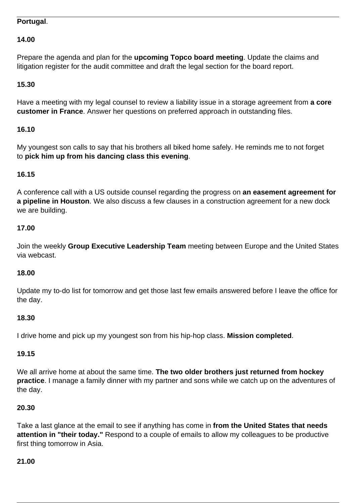# **Portugal**.

#### **14.00**

Prepare the agenda and plan for the **upcoming Topco board meeting**. Update the claims and litigation register for the audit committee and draft the legal section for the board report.

## **15.30**

Have a meeting with my legal counsel to review a liability issue in a storage agreement from **a core customer in France**. Answer her questions on preferred approach in outstanding files.

### **16.10**

My youngest son calls to say that his brothers all biked home safely. He reminds me to not forget to **pick him up from his dancing class this evening**.

#### **16.15**

A conference call with a US outside counsel regarding the progress on **an easement agreement for a pipeline in Houston**. We also discuss a few clauses in a construction agreement for a new dock we are building.

#### **17.00**

Join the weekly **Group Executive Leadership Team** meeting between Europe and the United States via webcast.

#### **18.00**

Update my to-do list for tomorrow and get those last few emails answered before I leave the office for the day.

#### **18.30**

I drive home and pick up my youngest son from his hip-hop class. **Mission completed**.

#### **19.15**

We all arrive home at about the same time. **The two older brothers just returned from hockey practice**. I manage a family dinner with my partner and sons while we catch up on the adventures of the day.

#### **20.30**

Take a last glance at the email to see if anything has come in **from the United States that needs attention in "their today."** Respond to a couple of emails to allow my colleagues to be productive first thing tomorrow in Asia.

#### **21.00**